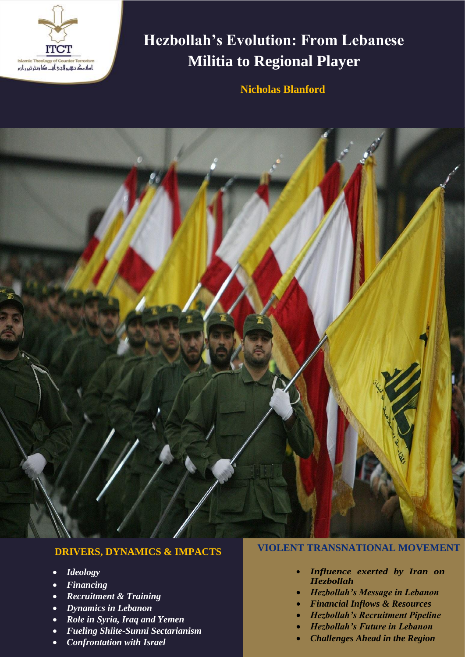

# **Hezbollah's Evolution: From Lebanese Militia to Regional Player**

**Nicholas Blanford**



# **DRIVERS, DYNAMICS & IMPACTS**

- *Ideology*
- *Financing*
- *Recruitment & Training*
- *Dynamics in Lebanon*
- *Role in Syria, Iraq and Yemen*
- *Fueling Shiite-Sunni Sectarianism*
- *Confrontation with Israel*

# **VIOLENT TRANSNATIONAL MOVEMENT**

- *Influence exerted by Iran on Hezbollah*
- *Hezbollah's Message in Lebanon*
- *Financial Inflows & Resources*
- *Hezbollah's Recruitment Pipeline*
- *Hezbollah's Future in Lebanon*
- *Challenges Ahead in the Region*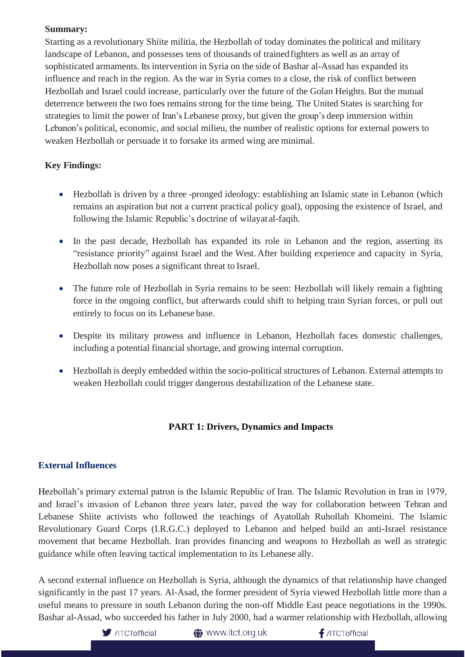#### **Summary:**

Starting as a revolutionary Shiite militia, the Hezbollah of today dominates the political and military landscape of Lebanon, and possesses tens of thousands of trainedfighters as well as an array of sophisticated armaments. Its intervention in Syria on the side of Bashar al-Assad has expanded its influence and reach in the region. As the war in Syria comes to a close, the risk of conflict between Hezbollah and Israel could increase, particularly over the future of the Golan Heights. But the mutual deterrence between the two foes remains strong for the time being. The United States is searching for strategies to limit the power of Iran's Lebanese proxy, but given the group's deep immersion within Lebanon's political, economic, and social milieu, the number of realistic options for external powers to weaken Hezbollah or persuade it to forsake its armed wing are minimal.

# **Key Findings:**

- Hezbollah is driven by a three -pronged ideology: establishing an Islamic state in Lebanon (which remains an aspiration but not a current practical policy goal), opposing the existence of Israel, and following the Islamic Republic's doctrine of wilayat al-faqih.
- In the past decade, Hezbollah has expanded its role in Lebanon and the region, asserting its "resistance priority" against Israel and the West. After building experience and capacity in Syria, Hezbollah now poses a significant threat to Israel.
- The future role of Hezbollah in Syria remains to be seen: Hezbollah will likely remain a fighting force in the ongoing conflict, but afterwards could shift to helping train Syrian forces, or pull out entirely to focus on its Lebanese base.
- Despite its military prowess and influence in Lebanon, Hezbollah faces domestic challenges, including a potential financial shortage, and growing internal corruption.
- Hezbollah is deeply embedded within the socio-political structures of Lebanon. External attempts to weaken Hezbollah could trigger dangerous destabilization of the Lebanese state.

# **PART 1: Drivers, Dynamics and Impacts**

## **External Influences**

Hezbollah's primary external patron is the Islamic Republic of Iran. The Islamic Revolution in Iran in 1979, and Israel's invasion of Lebanon three years later, paved the way for collaboration between Tehran and Lebanese Shiite activists who followed the teachings of Ayatollah Ruhollah Khomeini. The Islamic Revolutionary Guard Corps (I.R.G.C.) deployed to Lebanon and helped build an anti-Israel resistance movement that became Hezbollah. Iran provides financing and weapons to Hezbollah as well as strategic guidance while often leaving tactical implementation to its Lebanese ally.

A second external influence on Hezbollah is Syria, although the dynamics of that relationship have changed significantly in the past 17 years. Al-Asad, the former president of Syria viewed Hezbollah little more than a useful means to pressure in south Lebanon during the non-off Middle East peace negotiations in the 1990s. Bashar al-Assad, who succeeded his father in July 2000, had a warmer relationship with Hezbollah, allowing

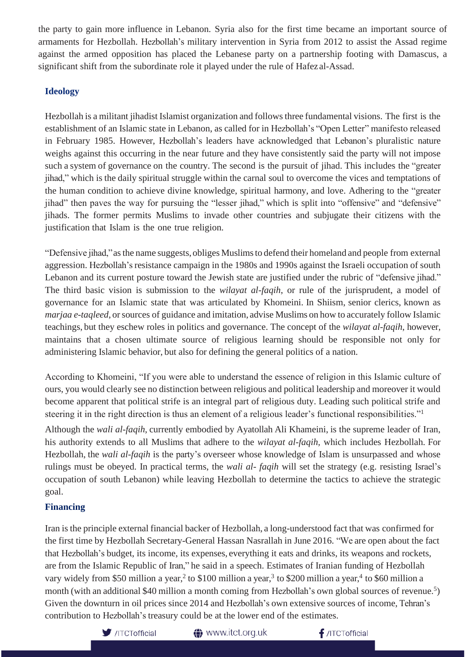the party to gain more influence in Lebanon. Syria also for the first time became an important source of armaments for Hezbollah. Hezbollah's military intervention in Syria from 2012 to assist the Assad regime against the armed opposition has placed the Lebanese party on a partnership footing with Damascus, a significant shift from the subordinate role it played under the rule of Hafezal-Assad.

## **Ideology**

Hezbollah is a militant jihadist Islamist organization and followsthree fundamental visions. The first is the establishment of an Islamic state in Lebanon, as called for in Hezbollah's "Open Letter" manifesto released in February 1985. However, Hezbollah's leaders have acknowledged that Lebanon's pluralistic nature weighs against this occurring in the near future and they have consistently said the party will not impose such a system of governance on the country. The second is the pursuit of jihad. This includes the "greater jihad," which is the daily spiritual struggle within the carnal soul to overcome the vices and temptations of the human condition to achieve divine knowledge, spiritual harmony, and love. Adhering to the "greater jihad" then paves the way for pursuing the "lesser jihad," which is split into "offensive" and "defensive" jihads. The former permits Muslims to invade other countries and subjugate their citizens with the justification that Islam is the one true religion.

"Defensive jihad,"asthe name suggests,obliges Muslimsto defend their homeland and people from external aggression. Hezbollah's resistance campaign in the 1980s and 1990s against the Israeli occupation of south Lebanon and its current posture toward the Jewish state are justified under the rubric of "defensive jihad." The third basic vision is submission to the *wilayat al-faqih*, or rule of the jurisprudent, a model of governance for an Islamic state that was articulated by Khomeini. In Shiism, senior clerics, known as *marjaa e-taqleed*, or sources of guidance and imitation, advise Muslims on how to accurately follow Islamic teachings, but they eschew roles in politics and governance. The concept of the *wilayat al-faqih*, however, maintains that a chosen ultimate source of religious learning should be responsible not only for administering Islamic behavior, but also for defining the general politics of a nation.

According to Khomeini, "If you were able to understand the essence of religion in this Islamic culture of ours, you would clearly see no distinction between religious and political leadership and moreover it would become apparent that political strife is an integral part of religious duty. Leading such political strife and steering it in the right direction is thus an element of a religious leader's functional responsibilities."<sup>1</sup>

Although the *wali al-faqih*, currently embodied by Ayatollah Ali Khameini, is the supreme leader of Iran, his authority extends to all Muslims that adhere to the *wilayat al-faqih,* which includes Hezbollah. For Hezbollah, the *wali al-faqih* is the party's overseer whose knowledge of Islam is unsurpassed and whose rulings must be obeyed. In practical terms, the *wali al- faqih* will set the strategy (e.g. resisting Israel's occupation of south Lebanon) while leaving Hezbollah to determine the tactics to achieve the strategic goal.

## **Financing**

Iran is the principle external financial backer of Hezbollah, a long-understood fact that was confirmed for the first time by Hezbollah Secretary-General Hassan Nasrallah in June 2016. "We are open about the fact that Hezbollah's budget, its income, its expenses, everything it eats and drinks, its weapons and rockets, are from the Islamic Republic of Iran," he said in a speech. Estimates of Iranian funding of Hezbollah vary widely from \$50 million a year,<sup>2</sup> to \$100 million a year,<sup>3</sup> to \$200 million a year,<sup>4</sup> to \$60 million a month (with an additional \$40 million a month coming from Hezbollah's own global sources of revenue.<sup>5</sup>) Given the downturn in oil prices since 2014 and Hezbollah's own extensive sources of income, Tehran's contribution to Hezbollah's treasury could be at the lower end of the estimates.

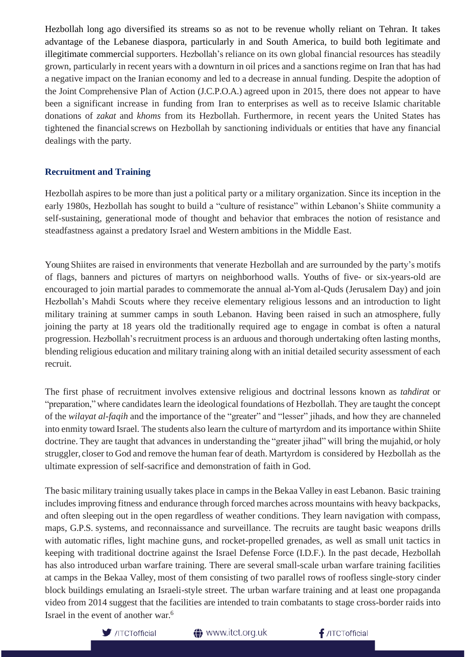Hezbollah long ago diversified its streams so as not to be revenue wholly reliant on Tehran. It takes advantage of the Lebanese diaspora, particularly in and South America, to build both legitimate and illegitimate commercial supporters. Hezbollah's reliance on its own global financial resources has steadily grown, particularly in recent years with a downturn in oil prices and a sanctions regime on Iran that has had a negative impact on the Iranian economy and led to a decrease in annual funding. Despite the adoption of the Joint Comprehensive Plan of Action (J.C.P.O.A.) agreed upon in 2015, there does not appear to have been a significant increase in funding from Iran to enterprises as well as to receive Islamic charitable donations of *zakat* and *khoms* from its Hezbollah. Furthermore, in recent years the United States has tightened the financialscrews on Hezbollah by sanctioning individuals or entities that have any financial dealings with the party.

#### **Recruitment and Training**

Hezbollah aspires to be more than just a political party or a military organization. Since its inception in the early 1980s, Hezbollah has sought to build a "culture of resistance" within Lebanon's Shiite community a self-sustaining, generational mode of thought and behavior that embraces the notion of resistance and steadfastness against a predatory Israel and Western ambitions in the Middle East.

Young Shiites are raised in environments that venerate Hezbollah and are surrounded by the party's motifs of flags, banners and pictures of martyrs on neighborhood walls. Youths of five- or six-years-old are encouraged to join martial parades to commemorate the annual al-Yom al-Quds (Jerusalem Day) and join Hezbollah's Mahdi Scouts where they receive elementary religious lessons and an introduction to light military training at summer camps in south Lebanon. Having been raised in such an atmosphere, fully joining the party at 18 years old the traditionally required age to engage in combat is often a natural progression. Hezbollah's recruitment process is an arduous and thorough undertaking often lasting months, blending religious education and military training along with an initial detailed security assessment of each recruit.

The first phase of recruitment involves extensive religious and doctrinal lessons known as *tahdirat* or "preparation," where candidates learn the ideological foundations of Hezbollah. They are taught the concept of the *wilayat al-faqih* and the importance of the "greater" and "lesser" jihads, and how they are channeled into enmity toward Israel. The students also learn the culture of martyrdom and its importance within Shiite doctrine. They are taught that advances in understanding the "greater jihad" will bring the mujahid, or holy struggler, closer to God and remove the human fear of death.Martyrdom is considered by Hezbollah as the ultimate expression of self-sacrifice and demonstration of faith in God.

The basic military training usually takes place in camps in the Bekaa Valley in east Lebanon. Basic training includes improving fitness and endurance through forced marches across mountains with heavy backpacks, and often sleeping out in the open regardless of weather conditions. They learn navigation with compass, maps, G.P.S. systems, and reconnaissance and surveillance. The recruits are taught basic weapons drills with automatic rifles, light machine guns, and rocket-propelled grenades, as well as small unit tactics in keeping with traditional doctrine against the Israel Defense Force (I.D.F.). In the past decade, Hezbollah has also introduced urban warfare training. There are several small-scale urban warfare training facilities at camps in the Bekaa Valley, most of them consisting of two parallel rows of roofless single-story cinder block buildings emulating an Israeli-style street. The urban warfare training and at least one propaganda video from 2014 suggest that the facilities are intended to train combatants to stage cross-border raids into Israel in the event of another war.6



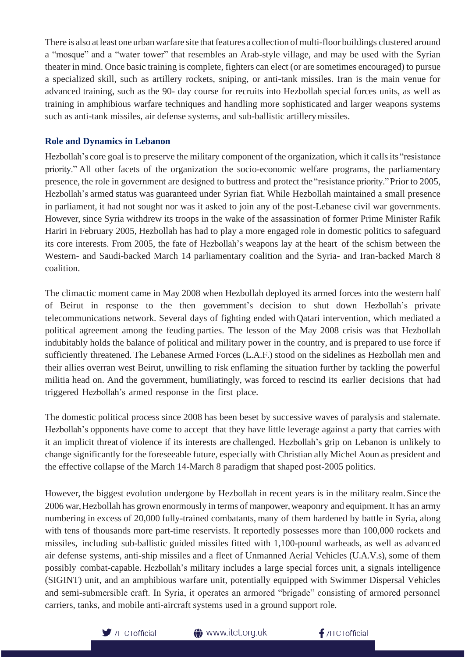There is also at least one urban warfare site that features a collection of multi-floor buildings clustered around a "mosque" and a "water tower" that resembles an Arab-style village, and may be used with the Syrian theater in mind. Once basic training is complete, fighters can elect (or are sometimes encouraged) to pursue a specialized skill, such as artillery rockets, sniping, or anti-tank missiles. Iran is the main venue for advanced training, such as the 90- day course for recruits into Hezbollah special forces units, as well as training in amphibious warfare techniques and handling more sophisticated and larger weapons systems such as anti-tank missiles, air defense systems, and sub-ballistic artillerymissiles.

#### **Role and Dynamics in Lebanon**

Hezbollah's core goal is to preserve the military component of the organization, which it callsits "resistance priority." All other facets of the organization the socio-economic welfare programs, the parliamentary presence, the role in government are designed to buttress and protect the "resistance priority."Prior to 2005, Hezbollah's armed status was guaranteed under Syrian fiat. While Hezbollah maintained a small presence in parliament, it had not sought nor was it asked to join any of the post-Lebanese civil war governments. However, since Syria withdrew its troops in the wake of the assassination of former Prime Minister Rafik Hariri in February 2005, Hezbollah has had to play a more engaged role in domestic politics to safeguard its core interests. From 2005, the fate of Hezbollah's weapons lay at the heart of the schism between the Western- and Saudi-backed March 14 parliamentary coalition and the Syria- and Iran-backed March 8 coalition.

The climactic moment came in May 2008 when Hezbollah deployed its armed forces into the western half of Beirut in response to the then government's decision to shut down Hezbollah's private telecommunications network. Several days of fighting ended withQatari intervention, which mediated a political agreement among the feuding parties. The lesson of the May 2008 crisis was that Hezbollah indubitably holds the balance of political and military power in the country, and is prepared to use force if sufficiently threatened. The Lebanese Armed Forces (L.A.F.) stood on the sidelines as Hezbollah men and their allies overran west Beirut, unwilling to risk enflaming the situation further by tackling the powerful militia head on. And the government, humiliatingly, was forced to rescind its earlier decisions that had triggered Hezbollah's armed response in the first place.

The domestic political process since 2008 has been beset by successive waves of paralysis and stalemate. Hezbollah's opponents have come to accept that they have little leverage against a party that carries with it an implicit threat of violence if its interests are challenged. Hezbollah's grip on Lebanon is unlikely to change significantly for the foreseeable future, especially with Christian ally Michel Aoun as president and the effective collapse of the March 14-March 8 paradigm that shaped post-2005 politics.

However, the biggest evolution undergone by Hezbollah in recent years is in the military realm.Since the 2006 war,Hezbollah has grown enormously in terms of manpower,weaponry and equipment.It has an army numbering in excess of 20,000 fully-trained combatants, many of them hardened by battle in Syria, along with tens of thousands more part-time reservists. It reportedly possesses more than 100,000 rockets and missiles, including sub-ballistic guided missiles fitted with 1,100-pound warheads, as well as advanced air defense systems, anti-ship missiles and a fleet of Unmanned Aerial Vehicles (U.A.V.s), some of them possibly combat-capable. Hezbollah's military includes a large special forces unit, a signals intelligence (SIGINT) unit, and an amphibious warfare unit, potentially equipped with Swimmer Dispersal Vehicles and semi-submersible craft. In Syria, it operates an armored "brigade" consisting of armored personnel carriers, tanks, and mobile anti-aircraft systems used in a ground support role.



**1** www.itct.org.uk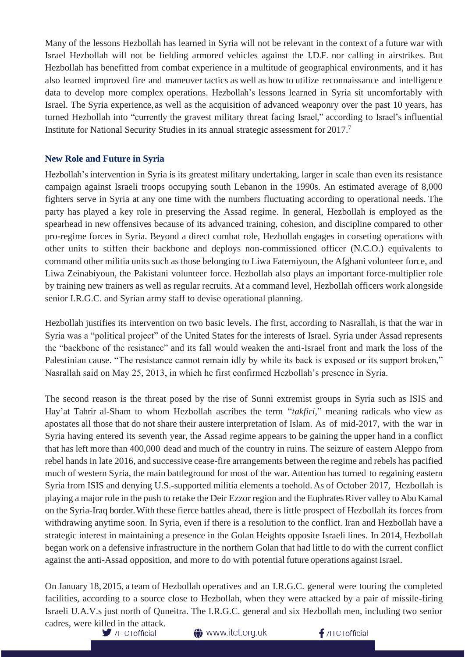Many of the lessons Hezbollah has learned in Syria will not be relevant in the context of a future war with Israel Hezbollah will not be fielding armored vehicles against the I.D.F. nor calling in airstrikes. But Hezbollah has benefitted from combat experience in a multitude of geographical environments, and it has also learned improved fire and maneuver tactics as well as how to utilize reconnaissance and intelligence data to develop more complex operations. Hezbollah's lessons learned in Syria sit uncomfortably with Israel. The Syria experience, as well as the acquisition of advanced weaponry over the past 10 years, has turned Hezbollah into "currently the gravest military threat facing Israel," according to Israel's influential Institute for National Security Studies in its annual strategic assessment for 2017.<sup>7</sup>

#### **New Role and Future in Syria**

Hezbollah's intervention in Syria is its greatest military undertaking, larger in scale than even its resistance campaign against Israeli troops occupying south Lebanon in the 1990s. An estimated average of 8,000 fighters serve in Syria at any one time with the numbers fluctuating according to operational needs. The party has played a key role in preserving the Assad regime. In general, Hezbollah is employed as the spearhead in new offensives because of its advanced training, cohesion, and discipline compared to other pro-regime forces in Syria. Beyond a direct combat role, Hezbollah engages in corseting operations with other units to stiffen their backbone and deploys non-commissioned officer (N.C.O.) equivalents to command other militia units such as those belonging to Liwa Fatemiyoun, the Afghani volunteer force, and Liwa Zeinabiyoun, the Pakistani volunteer force. Hezbollah also plays an important force-multiplier role by training new trainers as well as regular recruits. At a command level, Hezbollah officers work alongside senior I.R.G.C. and Syrian army staff to devise operational planning.

Hezbollah justifies its intervention on two basic levels. The first, according to Nasrallah, is that the war in Syria was a "political project" of the United States for the interests of Israel. Syria under Assad represents the "backbone of the resistance" and its fall would weaken the anti-Israel front and mark the loss of the Palestinian cause. "The resistance cannot remain idly by while its back is exposed or its support broken," Nasrallah said on May 25, 2013, in which he first confirmed Hezbollah's presence in Syria.

The second reason is the threat posed by the rise of Sunni extremist groups in Syria such as ISIS and Hay'at Tahrir al-Sham to whom Hezbollah ascribes the term "*takfiri,*" meaning radicals who view as apostates all those that do not share their austere interpretation of Islam. As of mid-2017, with the war in Syria having entered its seventh year, the Assad regime appears to be gaining the upper hand in a conflict that has left more than 400,000 dead and much of the country in ruins. The seizure of eastern Aleppo from rebel hands in late 2016, and successive cease-fire arrangements between the regime and rebels has pacified much of western Syria, the main battleground for most of the war. Attention has turned to regaining eastern Syria from ISIS and denying U.S.-supported militia elements a toehold.As of October 2017, Hezbollah is playing a major role in the push to retake the Deir Ezzor region and the Euphrates River valley to Abu Kamal on the Syria-Iraq border.With these fierce battles ahead, there is little prospect of Hezbollah its forces from withdrawing anytime soon. In Syria, even if there is a resolution to the conflict. Iran and Hezbollah have a strategic interest in maintaining a presence in the Golan Heights opposite Israeli lines. In 2014, Hezbollah began work on a defensive infrastructure in the northern Golan that had little to do with the current conflict against the anti-Assad opposition, and more to do with potential future operations against Israel.

On January 18, 2015, a team of Hezbollah operatives and an I.R.G.C. general were touring the completed facilities, according to a source close to Hezbollah, when they were attacked by a pair of missile-firing Israeli U.A.V.s just north of Quneitra. The I.R.G.C. general and six Hezbollah men, including two senior cadres, were killed in the attack.

**<sup>●</sup>** www.itct.org.uk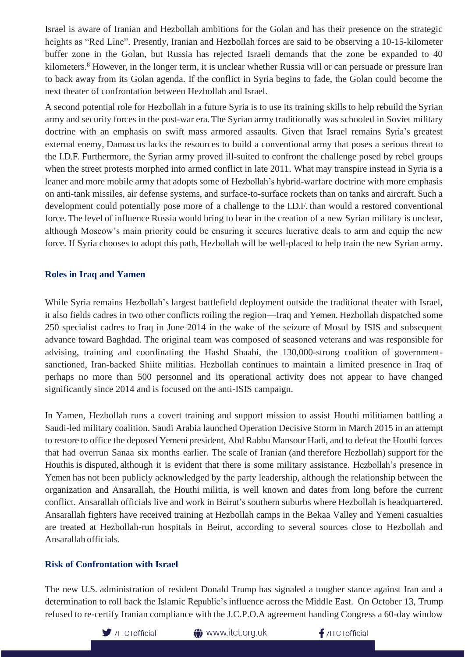Israel is aware of Iranian and Hezbollah ambitions for the Golan and has their presence on the strategic heights as "Red Line". Presently, Iranian and Hezbollah forces are said to be observing a 10-15-kilometer buffer zone in the Golan, but Russia has rejected Israeli demands that the zone be expanded to 40 kilometers.<sup>8</sup> However, in the longer term, it is unclear whether Russia will or can persuade or pressure Iran to back away from its Golan agenda. If the conflict in Syria begins to fade, the Golan could become the next theater of confrontation between Hezbollah and Israel.

A second potential role for Hezbollah in a future Syria is to use its training skills to help rebuild the Syrian army and security forces in the post-war era. The Syrian army traditionally was schooled in Soviet military doctrine with an emphasis on swift mass armored assaults. Given that Israel remains Syria's greatest external enemy, Damascus lacks the resources to build a conventional army that poses a serious threat to the I.D.F. Furthermore, the Syrian army proved ill-suited to confront the challenge posed by rebel groups when the street protests morphed into armed conflict in late 2011. What may transpire instead in Syria is a leaner and more mobile army that adopts some of Hezbollah's hybrid-warfare doctrine with more emphasis on anti-tank missiles, air defense systems, and surface-to-surface rockets than on tanks and aircraft. Such a development could potentially pose more of a challenge to the I.D.F. than would a restored conventional force. The level of influence Russia would bring to bear in the creation of a new Syrian military is unclear, although Moscow's main priority could be ensuring it secures lucrative deals to arm and equip the new force. If Syria chooses to adopt this path, Hezbollah will be well-placed to help train the new Syrian army.

#### **Roles in Iraq and Yamen**

While Syria remains Hezbollah's largest battlefield deployment outside the traditional theater with Israel, it also fields cadres in two other conflicts roiling the region—Iraq and Yemen. Hezbollah dispatched some 250 specialist cadres to Iraq in June 2014 in the wake of the seizure of Mosul by ISIS and subsequent advance toward Baghdad. The original team was composed of seasoned veterans and was responsible for advising, training and coordinating the Hashd Shaabi, the 130,000-strong coalition of governmentsanctioned, Iran-backed Shiite militias. Hezbollah continues to maintain a limited presence in Iraq of perhaps no more than 500 personnel and its operational activity does not appear to have changed significantly since 2014 and is focused on the anti-ISIS campaign.

In Yamen, Hezbollah runs a covert training and support mission to assist Houthi militiamen battling a Saudi-led military coalition. Saudi Arabia launched Operation Decisive Storm in March 2015 in an attempt to restore to office the deposed Yemeni president, Abd Rabbu Mansour Hadi, and to defeat the Houthi forces that had overrun Sanaa six months earlier. The scale of Iranian (and therefore Hezbollah) support for the Houthis is disputed, although it is evident that there is some military assistance. Hezbollah's presence in Yemen has not been publicly acknowledged by the party leadership, although the relationship between the organization and Ansarallah, the Houthi militia, is well known and dates from long before the current conflict. Ansarallah officials live and work in Beirut's southern suburbs where Hezbollah is headquartered. Ansarallah fighters have received training at Hezbollah camps in the Bekaa Valley and Yemeni casualties are treated at Hezbollah-run hospitals in Beirut, according to several sources close to Hezbollah and Ansarallah officials.

#### **Risk of Confrontation with Israel**

The new U.S. administration of resident Donald Trump has signaled a tougher stance against Iran and a determination to roll back the Islamic Republic's influence across the Middle East. On October 13, Trump refused to re-certify Iranian compliance with the J.C.P.O.A agreement handing Congress a 60-day window



**1** www.itct.org.uk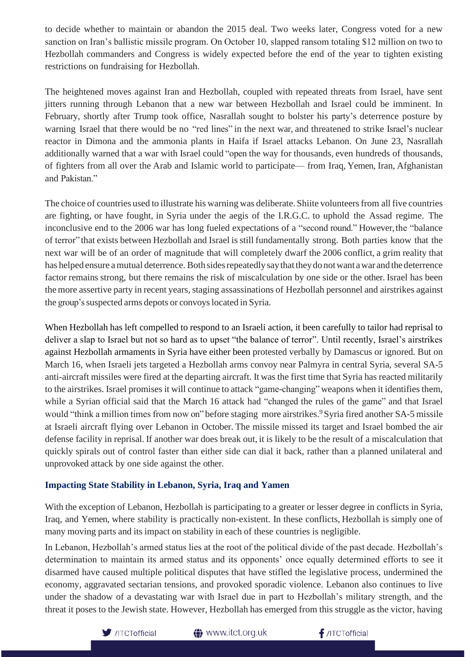to decide whether to maintain or abandon the 2015 deal. Two weeks later, Congress voted for a new sanction on Iran's ballistic missile program. On October 10, slapped ransom totaling \$12 million on two to Hezbollah commanders and Congress is widely expected before the end of the year to tighten existing restrictions on fundraising for Hezbollah.

The heightened moves against Iran and Hezbollah, coupled with repeated threats from Israel, have sent jitters running through Lebanon that a new war between Hezbollah and Israel could be imminent. In February, shortly after Trump took office, Nasrallah sought to bolster his party's deterrence posture by warning Israel that there would be no "red lines" in the next war, and threatened to strike Israel's nuclear reactor in Dimona and the ammonia plants in Haifa if Israel attacks Lebanon. On June 23, Nasrallah additionally warned that a war with Israel could "open the way for thousands, even hundreds of thousands, of fighters from all over the Arab and Islamic world to participate— from Iraq, Yemen, Iran, Afghanistan and Pakistan."

The choice of countries used to illustrate his warning was deliberate. Shiite volunteersfrom all five countries are fighting, or have fought, in Syria under the aegis of the I.R.G.C. to uphold the Assad regime. The inconclusive end to the 2006 war has long fueled expectations of a "second round." However,the "balance of terror" that exists between Hezbollah and Israel isstill fundamentally strong. Both parties know that the next war will be of an order of magnitude that will completely dwarf the 2006 conflict, a grim reality that has helped ensure a mutual deterrence. Both sides repeatedly say that they do not want a war and the deterrence factor remains strong, but there remains the risk of miscalculation by one side or the other. Israel has been the more assertive party in recent years, staging assassinations of Hezbollah personnel and airstrikes against the group's suspected arms depots or convoys located in Syria.

When Hezbollah has left compelled to respond to an Israeli action, it been carefully to tailor had reprisal to deliver a slap to Israel but not so hard as to upset "the balance of terror". Until recently, Israel's airstrikes against Hezbollah armaments in Syria have either been protested verbally by Damascus or ignored. But on March 16, when Israeli jets targeted a Hezbollah arms convoy near Palmyra in central Syria, several SA-5 anti-aircraft missiles were fired at the departing aircraft. It was the first time that Syria has reacted militarily to the airstrikes. Israel promises it will continue to attack "game-changing" weapons when it identifies them, while a Syrian official said that the March 16 attack had "changed the rules of the game" and that Israel would "think a million times from now on" before staging more airstrikes.<sup>9</sup> Syria fired another SA-5 missile at Israeli aircraft flying over Lebanon in October. The missile missed its target and Israel bombed the air defense facility in reprisal. If another war does break out, it is likely to be the result of a miscalculation that quickly spirals out of control faster than either side can dial it back, rather than a planned unilateral and unprovoked attack by one side against the other.

## **Impacting State Stability in Lebanon, Syria, Iraq and Yamen**

With the exception of Lebanon, Hezbollah is participating to a greater or lesser degree in conflicts in Syria, Iraq, and Yemen, where stability is practically non-existent. In these conflicts, Hezbollah is simply one of many moving parts and its impact on stability in each of these countries is negligible.

In Lebanon, Hezbollah's armed status lies at the root of the political divide of the past decade. Hezbollah's determination to maintain its armed status and its opponents' once equally determined efforts to see it disarmed have caused multiple political disputes that have stifled the legislative process, undermined the economy, aggravated sectarian tensions, and provoked sporadic violence. Lebanon also continues to live under the shadow of a devastating war with Israel due in part to Hezbollah's military strength, and the threat it poses to the Jewish state. However, Hezbollah has emerged from this struggle as the victor, having



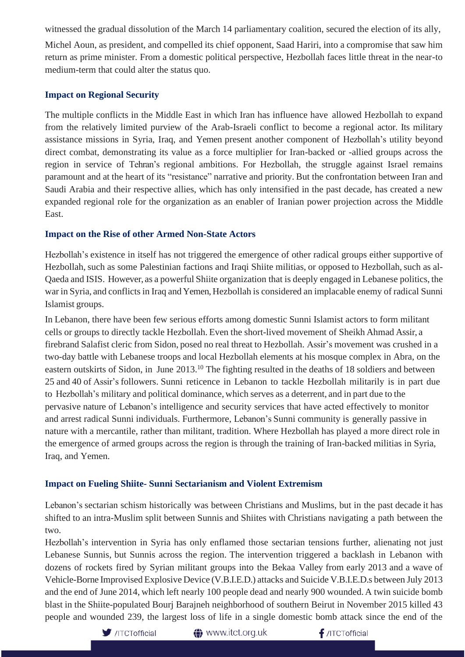witnessed the gradual dissolution of the March 14 parliamentary coalition, secured the election of its ally,

Michel Aoun, as president, and compelled its chief opponent, Saad Hariri, into a compromise that saw him return as prime minister. From a domestic political perspective, Hezbollah faces little threat in the near-to medium-term that could alter the status quo.

#### **Impact on Regional Security**

The multiple conflicts in the Middle East in which Iran has influence have allowed Hezbollah to expand from the relatively limited purview of the Arab-Israeli conflict to become a regional actor. Its military assistance missions in Syria, Iraq, and Yemen present another component of Hezbollah's utility beyond direct combat, demonstrating its value as a force multiplier for Iran-backed or -allied groups across the region in service of Tehran's regional ambitions. For Hezbollah, the struggle against Israel remains paramount and at the heart of its "resistance" narrative and priority. But the confrontation between Iran and Saudi Arabia and their respective allies, which has only intensified in the past decade, has created a new expanded regional role for the organization as an enabler of Iranian power projection across the Middle East.

# **Impact on the Rise of other Armed Non-State Actors**

Hezbollah's existence in itself has not triggered the emergence of other radical groups either supportive of Hezbollah, such as some Palestinian factions and Iraqi Shiite militias, or opposed to Hezbollah, such as al-Qaeda and ISIS. However, as a powerful Shiite organization that is deeply engaged in Lebanese politics, the war in Syria, and conflicts in Iraq and Yemen, Hezbollah is considered an implacable enemy of radical Sunni Islamist groups.

In Lebanon, there have been few serious efforts among domestic Sunni Islamist actors to form militant cells or groups to directly tackle Hezbollah. Even the short-lived movement of Sheikh Ahmad Assir, a firebrand Salafist cleric from Sidon, posed no real threat to Hezbollah. Assir's movement was crushed in a two-day battle with Lebanese troops and local Hezbollah elements at his mosque complex in Abra, on the eastern outskirts of Sidon, in June 2013.<sup>10</sup> The fighting resulted in the deaths of 18 soldiers and between 25 and 40 of Assir's followers. Sunni reticence in Lebanon to tackle Hezbollah militarily is in part due to Hezbollah's military and political dominance, which serves as a deterrent, and in part due to the pervasive nature of Lebanon's intelligence and security services that have acted effectively to monitor and arrest radical Sunni individuals. Furthermore, Lebanon's Sunni community is generally passive in nature with a mercantile, rather than militant, tradition. Where Hezbollah has played a more direct role in the emergence of armed groups across the region is through the training of Iran-backed militias in Syria, Iraq, and Yemen.

# **Impact on Fueling Shiite- Sunni Sectarianism and Violent Extremism**

Lebanon's sectarian schism historically was between Christians and Muslims, but in the past decade it has shifted to an intra-Muslim split between Sunnis and Shiites with Christians navigating a path between the two.

Hezbollah's intervention in Syria has only enflamed those sectarian tensions further, alienating not just Lebanese Sunnis, but Sunnis across the region. The intervention triggered a backlash in Lebanon with dozens of rockets fired by Syrian militant groups into the Bekaa Valley from early 2013 and a wave of Vehicle-Borne Improvised Explosive Device (V.B.I.E.D.) attacks and Suicide V.B.I.E.D.s between July 2013 and the end of June 2014, which left nearly 100 people dead and nearly 900 wounded.A twin suicide bomb blast in the Shiite-populated Bourj Barajneh neighborhood of southern Beirut in November 2015 killed 43 people and wounded 239, the largest loss of life in a single domestic bomb attack since the end of the

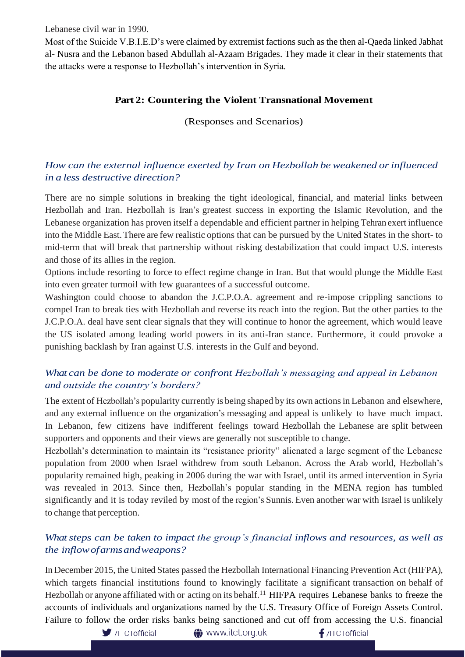Lebanese civil war in 1990.

Most of the Suicide V.B.I.E.D's were claimed by extremist factions such as the then al-Qaeda linked Jabhat al- Nusra and the Lebanon based Abdullah al-Azaam Brigades. They made it clear in their statements that the attacks were a response to Hezbollah's intervention in Syria.

## **Part 2: Countering the Violent Transnational Movement**

(Responses and Scenarios)

# *How can the external influence exerted by Iran on Hezbollah be weakened orinfluenced in a less destructive direction?*

There are no simple solutions in breaking the tight ideological, financial, and material links between Hezbollah and Iran. Hezbollah is Iran's greatest success in exporting the Islamic Revolution, and the Lebanese organization has proven itself a dependable and efficient partner in helping Tehran exert influence into the Middle East.There are few realistic options that can be pursued by the United States in the short- to mid-term that will break that partnership without risking destabilization that could impact U.S. interests and those of its allies in the region.

Options include resorting to force to effect regime change in Iran. But that would plunge the Middle East into even greater turmoil with few guarantees of a successful outcome.

Washington could choose to abandon the J.C.P.O.A. agreement and re-impose crippling sanctions to compel Iran to break ties with Hezbollah and reverse its reach into the region. But the other parties to the J.C.P.O.A. deal have sent clear signals that they will continue to honor the agreement, which would leave the US isolated among leading world powers in its anti-Iran stance. Furthermore, it could provoke a punishing backlash by Iran against U.S. interests in the Gulf and beyond.

# *What can be done to moderate or confront Hezbollah's messaging and appeal in Lebanon and outside the country's borders?*

The extent of Hezbollah's popularity currently is being shaped by its own actionsin Lebanon and elsewhere, and any external influence on the organization's messaging and appeal is unlikely to have much impact. In Lebanon, few citizens have indifferent feelings toward Hezbollah the Lebanese are split between supporters and opponents and their views are generally not susceptible to change.

Hezbollah's determination to maintain its "resistance priority" alienated a large segment of the Lebanese population from 2000 when Israel withdrew from south Lebanon. Across the Arab world, Hezbollah's popularity remained high, peaking in 2006 during the war with Israel, until its armed intervention in Syria was revealed in 2013. Since then, Hezbollah's popular standing in the MENA region has tumbled significantly and it is today reviled by most of the region's Sunnis.Even another war with Israel is unlikely to change that perception.

# *What steps can be taken to impact the group's financial inflows and resources, as well as the inflowofarmsandweapons?*

In December 2015, the United States passed the Hezbollah International Financing Prevention Act (HIFPA), which targets financial institutions found to knowingly facilitate a significant transaction on behalf of Hezbollah or anyone affiliated with or acting on its behalf.<sup>11</sup> HIFPA requires Lebanese banks to freeze the accounts of individuals and organizations named by the U.S. Treasury Office of Foreign Assets Control. Failure to follow the order risks banks being sanctioned and cut off from accessing the U.S. financial

 $\blacksquare$ /ITCTofficial

**<sup>△</sup>** www.itct.org.uk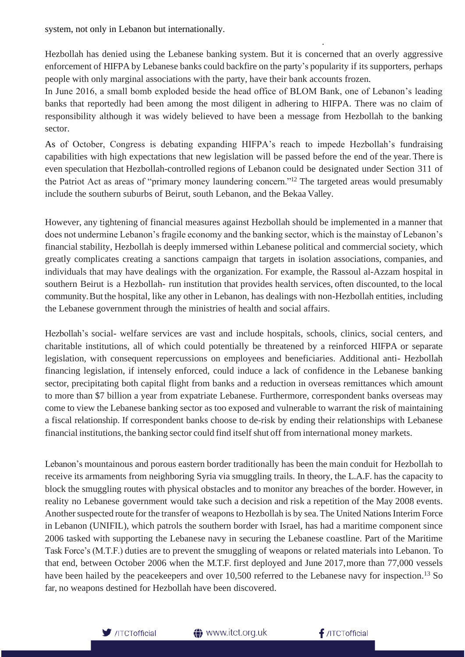system, not only in Lebanon but internationally.

Hezbollah has denied using the Lebanese banking system. But it is concerned that an overly aggressive enforcement of HIFPA by Lebanese banks could backfire on the party's popularity if its supporters, perhaps people with only marginal associations with the party, have their bank accounts frozen.

.

In June 2016, a small bomb exploded beside the head office of BLOM Bank, one of Lebanon's leading banks that reportedly had been among the most diligent in adhering to HIFPA. There was no claim of responsibility although it was widely believed to have been a message from Hezbollah to the banking sector.

As of October, Congress is debating expanding HIFPA's reach to impede Hezbollah's fundraising capabilities with high expectations that new legislation will be passed before the end of the year.There is even speculation that Hezbollah-controlled regions of Lebanon could be designated under Section 311 of the Patriot Act as areas of "primary money laundering concern."<sup>12</sup> The targeted areas would presumably include the southern suburbs of Beirut, south Lebanon, and the Bekaa Valley.

However, any tightening of financial measures against Hezbollah should be implemented in a manner that does not undermine Lebanon's fragile economy and the banking sector, which is the mainstay of Lebanon's financial stability, Hezbollah is deeply immersed within Lebanese political and commercial society, which greatly complicates creating a sanctions campaign that targets in isolation associations, companies, and individuals that may have dealings with the organization. For example, the Rassoul al-Azzam hospital in southern Beirut is a Hezbollah- run institution that provides health services, often discounted, to the local community.But the hospital, like any other in Lebanon, has dealings with non-Hezbollah entities, including the Lebanese government through the ministries of health and social affairs.

Hezbollah's social- welfare services are vast and include hospitals, schools, clinics, social centers, and charitable institutions, all of which could potentially be threatened by a reinforced HIFPA or separate legislation, with consequent repercussions on employees and beneficiaries. Additional anti- Hezbollah financing legislation, if intensely enforced, could induce a lack of confidence in the Lebanese banking sector, precipitating both capital flight from banks and a reduction in overseas remittances which amount to more than \$7 billion a year from expatriate Lebanese. Furthermore, correspondent banks overseas may come to view the Lebanese banking sector as too exposed and vulnerable to warrant the risk of maintaining a fiscal relationship. If correspondent banks choose to de-risk by ending their relationships with Lebanese financial institutions,the banking sector could find itself shut off from international money markets.

Lebanon's mountainous and porous eastern border traditionally has been the main conduit for Hezbollah to receive its armaments from neighboring Syria via smuggling trails. In theory, the L.A.F. has the capacity to block the smuggling routes with physical obstacles and to monitor any breaches of the border. However, in reality no Lebanese government would take such a decision and risk a repetition of the May 2008 events. Another suspected route for the transfer of weapons to Hezbollah is by sea. The United Nations Interim Force in Lebanon (UNIFIL), which patrols the southern border with Israel, has had a maritime component since 2006 tasked with supporting the Lebanese navy in securing the Lebanese coastline. Part of the Maritime Task Force's (M.T.F.) duties are to prevent the smuggling of weapons or related materials into Lebanon. To that end, between October 2006 when the M.T.F. first deployed and June 2017,more than 77,000 vessels have been hailed by the peacekeepers and over 10,500 referred to the Lebanese navy for inspection.<sup>13</sup> So far, no weapons destined for Hezbollah have been discovered.

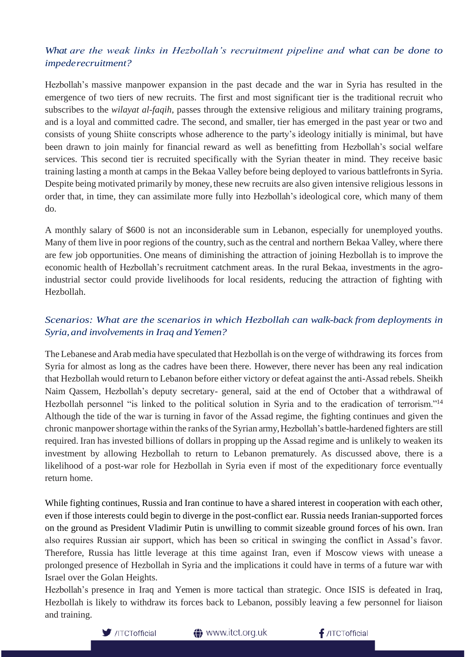# What are the weak links in Hezbollah's recruitment pipeline and what can be done to *impederecruitment?*

Hezbollah's massive manpower expansion in the past decade and the war in Syria has resulted in the emergence of two tiers of new recruits. The first and most significant tier is the traditional recruit who subscribes to the *wilayat al-faqih*, passes through the extensive religious and military training programs, and is a loyal and committed cadre. The second, and smaller, tier has emerged in the past year or two and consists of young Shiite conscripts whose adherence to the party's ideology initially is minimal, but have been drawn to join mainly for financial reward as well as benefitting from Hezbollah's social welfare services. This second tier is recruited specifically with the Syrian theater in mind. They receive basic training lasting a month at camps in the Bekaa Valley before being deployed to various battlefrontsin Syria. Despite being motivated primarily by money, these new recruits are also given intensive religious lessons in order that, in time, they can assimilate more fully into Hezbollah's ideological core, which many of them do.

A monthly salary of \$600 is not an inconsiderable sum in Lebanon, especially for unemployed youths. Many of them live in poor regions of the country, such as the central and northern Bekaa Valley, where there are few job opportunities. One means of diminishing the attraction of joining Hezbollah is to improve the economic health of Hezbollah's recruitment catchment areas. In the rural Bekaa, investments in the agroindustrial sector could provide livelihoods for local residents, reducing the attraction of fighting with Hezbollah.

# *Scenarios: What are the scenarios in which Hezbollah can walk-back from deployments in Syria,and involvementsin Iraq andYemen?*

The Lebanese and Arab media have speculated that Hezbollah is on the verge of withdrawing its forces from Syria for almost as long as the cadres have been there. However, there never has been any real indication that Hezbollah would return to Lebanon before either victory or defeat against the anti-Assad rebels. Sheikh Naim Qassem, Hezbollah's deputy secretary- general, said at the end of October that a withdrawal of Hezbollah personnel "is linked to the political solution in Syria and to the eradication of terrorism."<sup>14</sup> Although the tide of the war is turning in favor of the Assad regime, the fighting continues and given the chronic manpower shortage within the ranks of the Syrian army, Hezbollah's battle-hardened fighters are still required. Iran has invested billions of dollars in propping up the Assad regime and is unlikely to weaken its investment by allowing Hezbollah to return to Lebanon prematurely. As discussed above, there is a likelihood of a post-war role for Hezbollah in Syria even if most of the expeditionary force eventually return home.

While fighting continues, Russia and Iran continue to have a shared interest in cooperation with each other, even if those interests could begin to diverge in the post-conflict ear. Russia needs Iranian-supported forces on the ground as President Vladimir Putin is unwilling to commit sizeable ground forces of his own. Iran also requires Russian air support, which has been so critical in swinging the conflict in Assad's favor. Therefore, Russia has little leverage at this time against Iran, even if Moscow views with unease a prolonged presence of Hezbollah in Syria and the implications it could have in terms of a future war with Israel over the Golan Heights.

Hezbollah's presence in Iraq and Yemen is more tactical than strategic. Once ISIS is defeated in Iraq, Hezbollah is likely to withdraw its forces back to Lebanon, possibly leaving a few personnel for liaison and training.



**<sup>●</sup>** www.itct.org.uk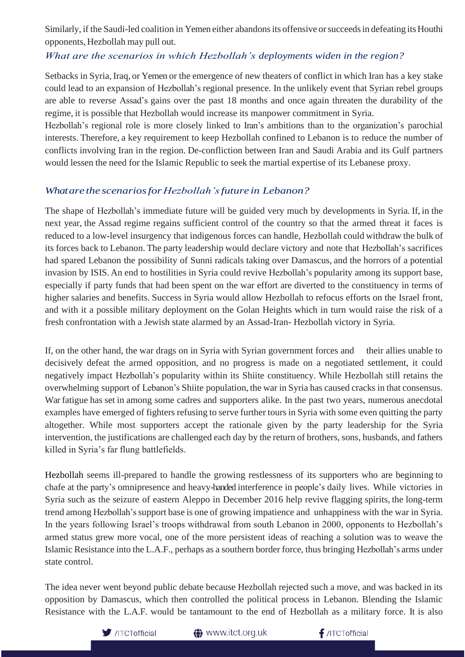Similarly, if the Saudi-led coalition in Yemen either abandons its offensive or succeeds in defeating its Houthi opponents, Hezbollah may pull out.

# *What are the scenarios in which Hezbollah's deployments widen in the region?*

Setbacks in Syria, Iraq, or Yemen or the emergence of new theaters of conflict in which Iran has a key stake could lead to an expansion of Hezbollah's regional presence. In the unlikely event that Syrian rebel groups are able to reverse Assad's gains over the past 18 months and once again threaten the durability of the regime, it is possible that Hezbollah would increase its manpower commitment in Syria.

Hezbollah's regional role is more closely linked to Iran's ambitions than to the organization's parochial interests. Therefore, a key requirement to keep Hezbollah confined to Lebanon is to reduce the number of conflicts involving Iran in the region. De-confliction between Iran and Saudi Arabia and its Gulf partners would lessen the need for the Islamic Republic to seek the martial expertise of its Lebanese proxy.

## *Whatare the scenariosforHezbollah'sfuture in Lebanon?*

The shape of Hezbollah's immediate future will be guided very much by developments in Syria. If, in the next year, the Assad regime regains sufficient control of the country so that the armed threat it faces is reduced to a low-level insurgency that indigenous forces can handle, Hezbollah could withdraw the bulk of its forces back to Lebanon. The party leadership would declare victory and note that Hezbollah's sacrifices had spared Lebanon the possibility of Sunni radicals taking over Damascus, and the horrors of a potential invasion by ISIS. An end to hostilities in Syria could revive Hezbollah's popularity among its support base, especially if party funds that had been spent on the war effort are diverted to the constituency in terms of higher salaries and benefits. Success in Syria would allow Hezbollah to refocus efforts on the Israel front, and with it a possible military deployment on the Golan Heights which in turn would raise the risk of a fresh confrontation with a Jewish state alarmed by an Assad-Iran- Hezbollah victory in Syria.

If, on the other hand, the war drags on in Syria with Syrian government forces and their allies unable to decisively defeat the armed opposition, and no progress is made on a negotiated settlement, it could negatively impact Hezbollah's popularity within its Shiite constituency. While Hezbollah still retains the overwhelming support of Lebanon's Shiite population, the war in Syria has caused cracks in that consensus. War fatigue has set in among some cadres and supporters alike. In the past two years, numerous anecdotal examples have emerged of fighters refusing to serve further tours in Syria with some even quitting the party altogether. While most supporters accept the rationale given by the party leadership for the Syria intervention, the justifications are challenged each day by the return of brothers, sons, husbands, and fathers killed in Syria's far flung battlefields.

Hezbollah seems ill-prepared to handle the growing restlessness of its supporters who are beginning to chafe at the party's omnipresence and heavy-handed interference in people's daily lives. While victories in Syria such as the seizure of eastern Aleppo in December 2016 help revive flagging spirits, the long-term trend among Hezbollah'ssupport base is one of growing impatience and unhappiness with the war in Syria. In the years following Israel's troops withdrawal from south Lebanon in 2000, opponents to Hezbollah's armed status grew more vocal, one of the more persistent ideas of reaching a solution was to weave the Islamic Resistance into the L.A.F., perhaps as a southern border force, thus bringing Hezbollah's arms under state control.

The idea never went beyond public debate because Hezbollah rejected such a move, and was backed in its opposition by Damascus, which then controlled the political process in Lebanon. Blending the Islamic Resistance with the L.A.F. would be tantamount to the end of Hezbollah as a military force. It is also



**<sup>●</sup>** www.itct.org.uk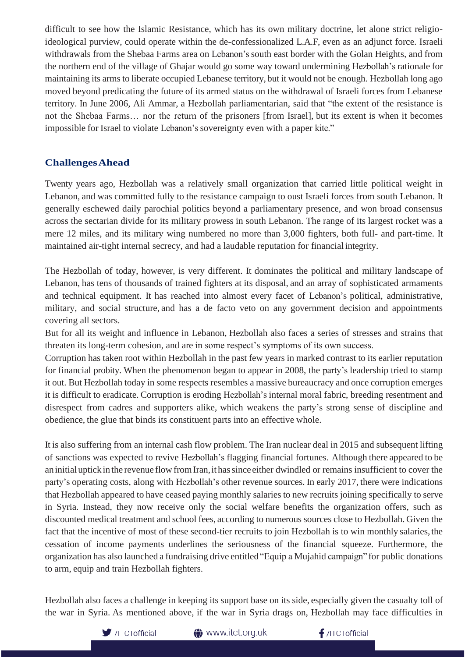difficult to see how the Islamic Resistance, which has its own military doctrine, let alone strict religioideological purview, could operate within the de-confessionalized L.A.F, even as an adjunct force. Israeli withdrawals from the Shebaa Farms area on Lebanon's south east border with the Golan Heights, and from the northern end of the village of Ghajar would go some way toward undermining Hezbollah's rationale for maintaining its armsto liberate occupied Lebanese territory, but it would not be enough. Hezbollah long ago moved beyond predicating the future of its armed status on the withdrawal of Israeli forces from Lebanese territory. In June 2006, Ali Ammar, a Hezbollah parliamentarian, said that "the extent of the resistance is not the Shebaa Farms… nor the return of the prisoners [from Israel], but its extent is when it becomes impossible for Israel to violate Lebanon's sovereignty even with a paper kite."

#### **ChallengesAhead**

Twenty years ago, Hezbollah was a relatively small organization that carried little political weight in Lebanon, and was committed fully to the resistance campaign to oust Israeli forces from south Lebanon. It generally eschewed daily parochial politics beyond a parliamentary presence, and won broad consensus across the sectarian divide for its military prowess in south Lebanon. The range of its largest rocket was a mere 12 miles, and its military wing numbered no more than 3,000 fighters, both full- and part-time. It maintained air-tight internal secrecy, and had a laudable reputation for financial integrity.

The Hezbollah of today, however, is very different. It dominates the political and military landscape of Lebanon, has tens of thousands of trained fighters at its disposal, and an array of sophisticated armaments and technical equipment. It has reached into almost every facet of Lebanon's political, administrative, military, and social structure, and has a de facto veto on any government decision and appointments covering all sectors.

But for all its weight and influence in Lebanon, Hezbollah also faces a series of stresses and strains that threaten its long-term cohesion, and are in some respect's symptoms of its own success.

Corruption has taken root within Hezbollah in the past few years in marked contrast to its earlier reputation for financial probity. When the phenomenon began to appear in 2008, the party's leadership tried to stamp it out. But Hezbollah today in some respects resembles a massive bureaucracy and once corruption emerges it is difficult to eradicate. Corruption is eroding Hezbollah's internal moral fabric, breeding resentment and disrespect from cadres and supporters alike, which weakens the party's strong sense of discipline and obedience, the glue that binds its constituent parts into an effective whole.

It is also suffering from an internal cash flow problem. The Iran nuclear deal in 2015 and subsequent lifting of sanctions was expected to revive Hezbollah's flagging financial fortunes. Although there appeared to be an initial uptick in the revenue flow from Iran, it has since either dwindled or remains insufficient to cover the party's operating costs, along with Hezbollah's other revenue sources. In early 2017, there were indications that Hezbollah appeared to have ceased paying monthly salaries to new recruits joining specifically to serve in Syria. Instead, they now receive only the social welfare benefits the organization offers, such as discounted medical treatment and school fees, according to numerous sources close to Hezbollah. Given the fact that the incentive of most of these second-tier recruits to join Hezbollah is to win monthly salaries, the cessation of income payments underlines the seriousness of the financial squeeze. Furthermore, the organization has also launched a fundraising drive entitled"Equip a Mujahid campaign" for public donations to arm, equip and train Hezbollah fighters.

Hezbollah also faces a challenge in keeping its support base on its side, especially given the casualty toll of the war in Syria. As mentioned above, if the war in Syria drags on, Hezbollah may face difficulties in



**<sup>●</sup>** www.itct.org.uk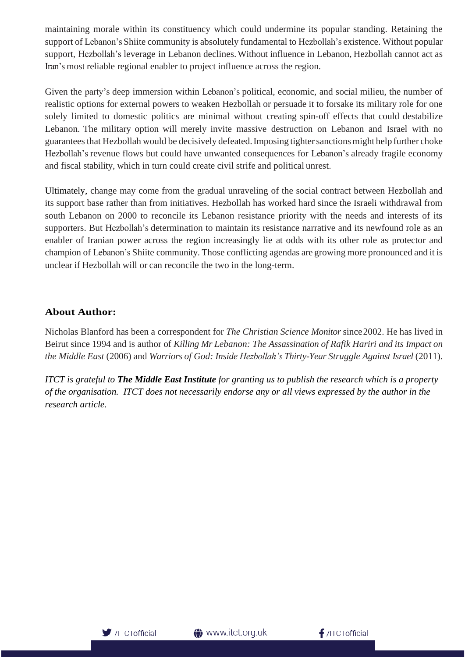maintaining morale within its constituency which could undermine its popular standing. Retaining the support of Lebanon's Shiite community is absolutely fundamental to Hezbollah's existence. Without popular support, Hezbollah's leverage in Lebanon declines.Without influence in Lebanon, Hezbollah cannot act as Iran's most reliable regional enabler to project influence across the region.

Given the party's deep immersion within Lebanon's political, economic, and social milieu, the number of realistic options for external powers to weaken Hezbollah or persuade it to forsake its military role for one solely limited to domestic politics are minimal without creating spin-off effects that could destabilize Lebanon. The military option will merely invite massive destruction on Lebanon and Israel with no guarantees that Hezbollah would be decisively defeated.Imposing tightersanctionsmight help further choke Hezbollah's revenue flows but could have unwanted consequences for Lebanon's already fragile economy and fiscal stability, which in turn could create civil strife and political unrest.

Ultimately, change may come from the gradual unraveling of the social contract between Hezbollah and its support base rather than from initiatives. Hezbollah has worked hard since the Israeli withdrawal from south Lebanon on 2000 to reconcile its Lebanon resistance priority with the needs and interests of its supporters. But Hezbollah's determination to maintain its resistance narrative and its newfound role as an enabler of Iranian power across the region increasingly lie at odds with its other role as protector and champion of Lebanon's Shiite community. Those conflicting agendas are growing more pronounced and it is unclear if Hezbollah will or can reconcile the two in the long-term.

# **About Author:**

Nicholas Blanford has been a correspondent for *The Christian Science Monitor* since2002. He has lived in Beirut since 1994 and is author of *Killing Mr Lebanon: The Assassination of Rafik Hariri and its Impact on the Middle East* (2006) and *Warriors of God: Inside Hezbollah's Thirty-Year Struggle Against Israel* (2011).

*ITCT is grateful to The Middle East Institute for granting us to publish the research which is a property of the organisation. ITCT does not necessarily endorse any or all views expressed by the author in the research article.*

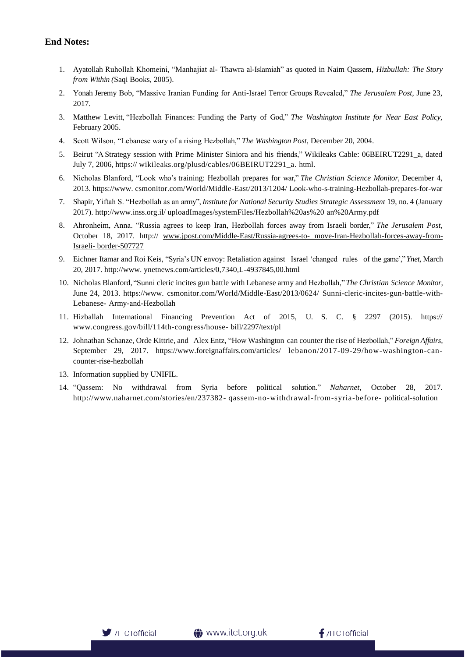#### **End Notes:**

- 1. Ayatollah Ruhollah Khomeini, "Manhajiat al- Thawra al-Islamiah" as quoted in Naim Qassem, *Hizbullah: The Story from Within (*Saqi Books, 2005).
- 2. Yonah Jeremy Bob, "Massive Iranian Funding for Anti-Israel Terror Groups Revealed," *The Jerusalem Post,* June 23, 2017.
- 3. Matthew Levitt, "Hezbollah Finances: Funding the Party of God," *The Washington Institute for Near East Policy,*  February 2005.
- 4. Scott Wilson, "Lebanese wary of a rising Hezbollah," *The Washington Post,* December 20, 2004.
- 5. Beirut "A Strategy session with Prime Minister Siniora and his friends," Wikileaks Cable: 06BEIRUT2291\_a, dated July 7, 2006, https:// wikileaks.org/plusd/cables/06BEIRUT2291\_a. html.
- 6. Nicholas Blanford, "Look who's training: Hezbollah prepares for war," *The Christian Science Monitor,* December 4, 2013. htt[ps://ww](http://www/)w. csmonitor.com/World/Middle-East/2013/1204/ Look-who-s-training-Hezbollah-prepares-for-war
- 7. Shapir, Yiftah S. "Hezbollah as an army", *Institute for National Security Studies Strategic Assessment* 19, no. 4 (January 2017).<http://www.inss.org.il/> uploadImages/systemFiles/Hezbollah%20as%20 an%20Army.pdf
- 8. Ahronheim, Anna. "Russia agrees to keep Iran, Hezbollah forces away from Israeli border," *The Jerusalem Post,*  October 18, 2017. http:// [www.jpost.com/Middle-East/Russia-agrees-to-](http://www.jpost.com/Middle-East/Russia-agrees-to-%20move-Iran-Hezbollah-forces-away-from-Israeli-%20border-507727) move-Iran-Hezbollah-forces-away-from-Israeli- [border-507727](http://www.jpost.com/Middle-East/Russia-agrees-to-%20move-Iran-Hezbollah-forces-away-from-Israeli-%20border-507727)
- 9. Eichner Itamar and Roi Keis, "Syria's UN envoy: Retaliation against Israel 'changed rules of the game'," *Ynet,* March 20, 2017[. http://www.](http://www/) ynetnews.com/articles/0,7340,L-4937845,00.html
- 10. Nicholas Blanford, "Sunni cleric incites gun battle with Lebanese army and Hezbollah," *The Christian Science Monitor,*  June 24, 2013. htt[ps://ww](http://www/)w. csmonitor.com/World/Middle-East/2013/0624/ Sunni-cleric-incites-gun-battle-with-Lebanese- Army-and-Hezbollah
- 11. Hizballah International Financing Prevention Act of 2015, U. S. C. § 2297 (2015). https:/[/](http://www.congress.gov/bill/114th-congress/house-) [www.congress.gov/bill/114th-congress/house-](http://www.congress.gov/bill/114th-congress/house-) bill/2297/text/pl
- 12. Johnathan Schanze, Orde Kittrie, and Alex Entz, "How Washington can counter the rise of Hezbollah," *Foreign Affairs,*  September 29, 2017. htt[ps://ww](http://www.foreignaffairs.com/articles/)w.[foreignaffairs.com/articles/](http://www.foreignaffairs.com/articles/) lebanon/2017-09-29/how-washington-cancounter-rise-hezbollah
- 13. Information supplied by UNIFIL.
- 14. "Qassem: No withdrawal from Syria before political solution." *Naharnet*, October 28, 2017[.](http://www.naharnet.com/stories/en/237382-) <http://www.naharnet.com/stories/en/237382-> qassem-no-withdrawal-from-syria-before- political-solution